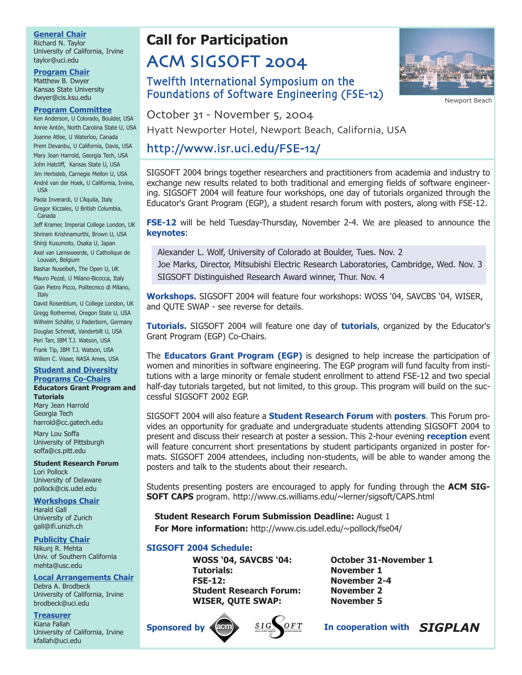### **General Chair**

Richard N. Taylor University of California, Irvine taylor@uci.edu

#### **Program Chair**

Matthew B. Dwyer Kansas State University dwyer@cis.ksu.edu

#### **Program Committee**

Ken Anderson, U Colorado, Boulder, USA Annie Antón, North Carolina State U, USA Joanne Atlee, U Waterloo, Canada Prem Devanbu, U California, Davis, USA Mary Jean Harrold, Georgia Tech, USA John Hatcliff, Kansas State U, USA Jim Herbsleb, Carnegie Mellon U, USA André van der Hoek, U California, Irvine, USA Paola Inverardi, U L'Aquila, Italy

Gregor Kiczales, U British Columbia, Canada

Jeff Kramer, Imperial College London, UK Shriram Krishnamurthi, Brown U, USA Shinji Kusumoto, Osaka U, Japan

Axel van Lamsweerde, U Catholique de Louvain, Belgium

Bashar Nuseibeh, The Open U, UK Mauro Pezzé, U Milano-Bicocca, Italy Gian Pietro Picco, Politecnico di Milano, **Italy** 

David Rosenblum, U College London, UK Gregg Rothermel, Oregon State U, USA Wilhelm Schäfer, U Paderborn, Germany Douglas Schmidt, Vanderbilt U, USA Peri Tarr, IBM T.J. Watson, USA Frank Tip, IBM T.J. Watson, USA Willem C. Visser, NASA Ames, USA

#### **Student and Diversity Programs Co-Chairs Educators Grant Program and**

#### **Tutorials**

Mary Jean Harrold Georgia Tech harrold@cc.gatech.edu

Mary Lou Soffa University of Pittsburgh soffa@cs.pitt.edu

**Student Research Forum** Lori Pollock University of Delaware pollock@cis.udel.edu

#### **Workshops Chair**

Harald Gall University of Zurich gall@ifi.unizh.ch

#### **Publicity Chair**

Nikunj R. Mehta Univ. of Southern California mehta@usc.edu

#### **Local Arrangements Chair**

Debra A. Brodbeck University of California, Irvine brodbeck@uci.edu

#### **Treasurer**

Kiana Fallah University of California, Irvine kfallah@uci.edu

# **Call for Participation** ACM SIGSOFT 2004

# Twelfth International Symposium on the Foundations of Software Engineering (FSE-12)



Newport Beach

October 31 - November 5, 2004

Hyatt Newporter Hotel, Newport Beach, California, USA

# http://www.isr.uci.edu/FSE-12/

SIGSOFT 2004 brings together researchers and practitioners from academia and industry to exchange new results related to both traditional and emerging fields of software engineering. SIGSOFT 2004 will feature four workshops, one day of tutorials organized through the Educator's Grant Program (EGP), a student resarch forum with posters, along with FSE-12.

**FSE-12** will be held Tuesday-Thursday, November 2-4. We are pleased to announce the **keynotes**:

Alexander L. Wolf, University of Colorado at Boulder, Tues. Nov. 2 Joe Marks, Director, Mitsubishi Electric Research Laboratories, Cambridge, Wed. Nov. 3 SIGSOFT Distinguished Research Award winner, Thur. Nov. 4

**Workshops.** SIGSOFT 2004 will feature four workshops: WOSS '04, SAVCBS '04, WISER, and QUTE SWAP - see reverse for details.

**Tutorials.** SIGSOFT 2004 will feature one day of **tutorials**, organized by the Educator's Grant Program (EGP) Co-Chairs.

The **Educators Grant Program (EGP)** is designed to help increase the participation of women and minorities in software engineering. The EGP program will fund faculty from institutions with a large minority or female student enrollment to attend FSE-12 and two special half-day tutorials targeted, but not limited, to this group. This program will build on the successful SIGSOFT 2002 EGP.

SIGSOFT 2004 will also feature a **Student Research Forum** with **posters**. This Forum provides an opportunity for graduate and undergraduate students attending SIGSOFT 2004 to present and discuss their research at poster a session. This 2-hour evening **reception** event will feature concurrent short presentations by student participants organized in poster formats. SIGSOFT 2004 attendees, including non-students, will be able to wander among the posters and talk to the students about their research.

Students presenting posters are encouraged to apply for funding through the **ACM SIG-SOFT CAPS** program. http://www.cs.williams.edu/~lerner/sigsoft/CAPS.html

**Student Research Forum Submission Deadline:** August 1 **For More information:** http://www.cis.udel.edu/~pollock/fse04/

### **SIGSOFT 2004 Schedule:**

**WOSS '04, SAVCBS '04: October 31-November 1 Tutorials: November 1 FSE-12: November 2-4 Student Research Forum: November 2 WISER, QUTE SWAP: November 5**





**In cooperation with** *SIGPLAN*